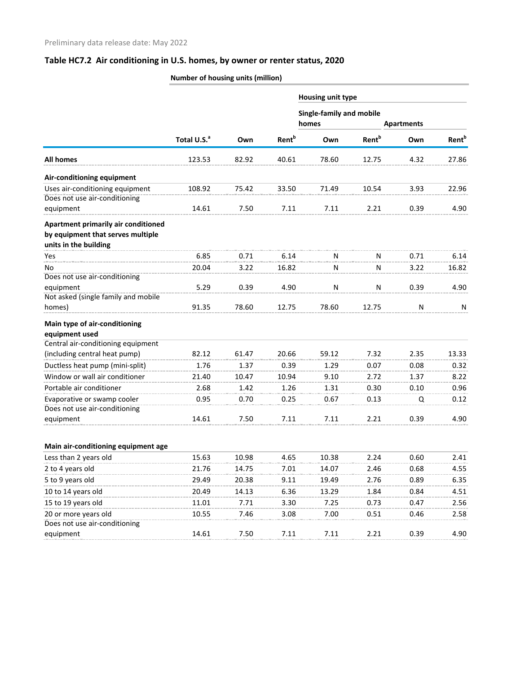|                                     | Number of housing units (million) |       |                          |                                 |                          |                   |                          |
|-------------------------------------|-----------------------------------|-------|--------------------------|---------------------------------|--------------------------|-------------------|--------------------------|
|                                     |                                   |       |                          | Housing unit type               |                          |                   |                          |
|                                     |                                   |       |                          | <b>Single-family and mobile</b> |                          |                   |                          |
|                                     |                                   |       |                          | homes                           |                          | <b>Apartments</b> |                          |
|                                     | Total U.S. <sup>a</sup>           | Own   | <b>Rent</b> <sup>b</sup> | Own                             | <b>Rent</b> <sup>b</sup> | Own               | <b>Rent</b> <sup>b</sup> |
| <b>All homes</b>                    | 123.53                            | 82.92 | 40.61                    | 78.60                           | 12.75                    | 4.32              | 27.86                    |
| Air-conditioning equipment          |                                   |       |                          |                                 |                          |                   |                          |
| Uses air-conditioning equipment     | 108.92                            | 75.42 | 33.50                    | 71.49                           | 10.54                    | 3.93              | 22.96                    |
| Does not use air-conditioning       |                                   |       |                          |                                 |                          |                   |                          |
| equipment                           | 14.61                             | 7.50  | 7.11                     | 7.11                            | 2.21                     | 0.39              | 4.90                     |
| Apartment primarily air conditioned |                                   |       |                          |                                 |                          |                   |                          |
| by equipment that serves multiple   |                                   |       |                          |                                 |                          |                   |                          |
| units in the building               |                                   |       |                          |                                 |                          |                   |                          |
| Yes                                 | 6.85                              | 0.71  | 6.14                     | N                               | N                        | 0.71              | 6.14                     |
| No                                  | 20.04                             | 3.22  | 16.82                    | N                               | N                        | 3.22              | 16.82                    |
| Does not use air-conditioning       |                                   |       |                          |                                 |                          |                   |                          |
| equipment                           | 5.29                              | 0.39  | 4.90                     | N                               | N                        | 0.39              | 4.90                     |
| Not asked (single family and mobile |                                   |       |                          |                                 |                          |                   |                          |
| homes)                              | 91.35                             | 78.60 | 12.75                    | 78.60                           | 12.75                    | N                 | N                        |
| Main type of air-conditioning       |                                   |       |                          |                                 |                          |                   |                          |
| equipment used                      |                                   |       |                          |                                 |                          |                   |                          |
| Central air-conditioning equipment  |                                   |       |                          |                                 |                          |                   |                          |
| (including central heat pump)       | 82.12                             | 61.47 | 20.66                    | 59.12                           | 7.32                     | 2.35              | 13.33                    |
| Ductless heat pump (mini-split)     | 1.76                              | 1.37  | 0.39                     | 1.29                            | 0.07                     | 0.08              | 0.32                     |
| Window or wall air conditioner      | 21.40                             | 10.47 | 10.94                    | 9.10                            | 2.72                     | 1.37              | 8.22                     |
| Portable air conditioner            | 2.68                              | 1.42  | 1.26                     | 1.31                            | 0.30                     | 0.10              | 0.96                     |
| Evaporative or swamp cooler         | 0.95                              | 0.70  | 0.25                     | 0.67                            | 0.13                     | Q                 | 0.12                     |
| Does not use air-conditioning       |                                   |       |                          |                                 |                          |                   |                          |
| equipment                           | 14.61                             | 7.50  | 7.11                     | 7.11                            | 2.21                     | 0.39              | 4.90                     |
|                                     |                                   |       |                          |                                 |                          |                   |                          |
| Main air-conditioning equipment age |                                   |       |                          |                                 |                          |                   |                          |
| Less than 2 years old               | 15.63                             | 10.98 | 4.65                     | 10.38                           | 2.24                     | 0.60              | 2.41                     |
| 2 to 4 years old                    | 21.76                             | 14.75 | 7.01                     | 14.07                           | 2.46                     | 0.68              | 4.55                     |
| 5 to 9 years old                    | 29.49                             | 20.38 | 9.11                     | 19.49                           | 2.76                     | 0.89              | 6.35                     |
| 10 to 14 years old                  | 20.49                             | 14.13 | 6.36                     | 13.29                           | 1.84                     | 0.84              | 4.51                     |
| 15 to 19 years old                  | 11.01                             | 7.71  | 3.30                     | 7.25                            | 0.73                     | 0.47              | 2.56                     |
| 20 or more years old                | 10.55                             | 7.46  | 3.08                     | 7.00                            | 0.51                     | 0.46              | 2.58                     |
| Does not use air-conditioning       |                                   |       |                          |                                 |                          |                   |                          |
| equipment                           | 14.61                             | 7.50  | 7.11                     | 7.11                            | 2.21                     | 0.39              | 4.90                     |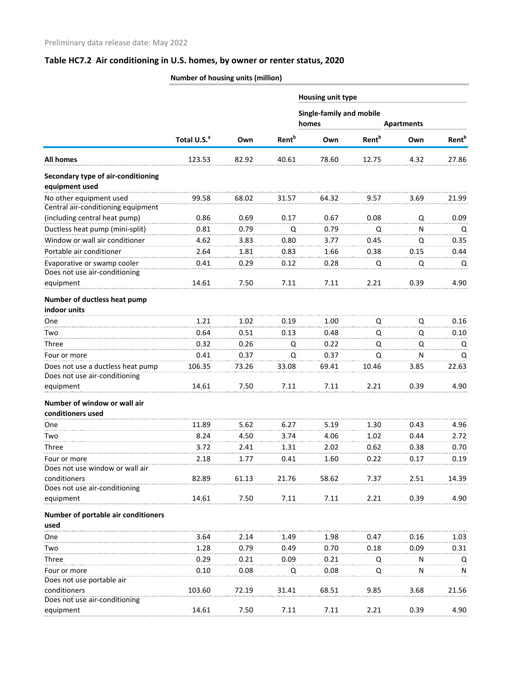|                                                      | Number of housing units (million) |       |                          |                                                        |                          |      |                          |
|------------------------------------------------------|-----------------------------------|-------|--------------------------|--------------------------------------------------------|--------------------------|------|--------------------------|
|                                                      |                                   |       |                          | Housing unit type                                      |                          |      |                          |
|                                                      |                                   |       |                          | Single-family and mobile<br>homes<br><b>Apartments</b> |                          |      |                          |
|                                                      | Total U.S. <sup>a</sup>           | Own   | <b>Rent</b> <sup>b</sup> | Own                                                    | <b>Rent</b> <sup>b</sup> | Own  | <b>Rent</b> <sup>b</sup> |
| <b>All homes</b>                                     | 123.53                            | 82.92 | 40.61                    | 78.60                                                  | 12.75                    | 4.32 | 27.86                    |
| Secondary type of air-conditioning<br>equipment used |                                   |       |                          |                                                        |                          |      |                          |
| No other equipment used                              | 99.58                             | 68.02 | 31.57                    | 64.32                                                  | 9.57                     | 3.69 | 21.99                    |
| Central air-conditioning equipment                   |                                   |       |                          |                                                        |                          |      |                          |
| (including central heat pump)                        | 0.86                              | 0.69  | 0.17                     | 0.67                                                   | 0.08                     | Q    | 0.09                     |
| Ductless heat pump (mini-split)                      | 0.81                              | 0.79  | Q                        | 0.79                                                   | Q                        | N    | Q                        |
| Window or wall air conditioner                       | 4.62                              | 3.83  | 0.80                     | 3.77                                                   | 0.45                     | Q    | 0.35                     |
| Portable air conditioner                             | 2.64                              | 1.81  | 0.83                     | 1.66                                                   | 0.38                     | 0.15 | 0.44                     |
| Evaporative or swamp cooler                          | 0.41                              | 0.29  | 0.12                     | 0.28                                                   | Q                        | Q    | Q                        |
| Does not use air-conditioning                        |                                   |       |                          |                                                        |                          |      |                          |
| equipment                                            | 14.61                             | 7.50  | 7.11                     | 7.11                                                   | 2.21                     | 0.39 | 4.90                     |
| Number of ductless heat pump<br>indoor units         |                                   |       |                          |                                                        |                          |      |                          |
| One                                                  | 1.21                              | 1.02  | 0.19                     | 1.00                                                   | Q                        | Q    | 0.16                     |
| Two                                                  | 0.64                              | 0.51  | 0.13                     | 0.48                                                   | Q                        | Q    | 0.10                     |
| Three                                                | 0.32                              | 0.26  | Q                        | 0.22                                                   | Q                        | Q    | Q                        |
| Four or more                                         | 0.41                              | 0.37  | Q                        | 0.37                                                   | Q                        | N    | Q                        |
| Does not use a ductless heat pump                    | 106.35                            | 73.26 | 33.08                    | 69.41                                                  | 10.46                    | 3.85 | 22.63                    |
| Does not use air-conditioning                        |                                   |       |                          |                                                        |                          |      |                          |
| equipment                                            | 14.61                             | 7.50  | 7.11                     | 7.11                                                   | 2.21                     | 0.39 | 4.90                     |
| Number of window or wall air<br>conditioners used    |                                   |       |                          |                                                        |                          |      |                          |
| One                                                  | 11.89                             | 5.62  | 6.27                     | 5.19                                                   | 1.30                     | 0.43 | 4.96                     |
| Two                                                  | 8.24                              | 4.50  | 3.74                     | 4.06                                                   | 1.02                     | 0.44 | 2.72                     |
| Three                                                | 3.72                              | 2.41  | 1.31                     | 2.02                                                   | 0.62                     | 0.38 | 0.70                     |
| Four or more                                         | 2.18                              | 1.77  | 0.41                     | 1.60                                                   | 0.22                     | 0.17 | 0.19                     |
| Does not use window or wall air                      |                                   |       |                          |                                                        |                          |      |                          |
| conditioners                                         | 82.89                             | 61.13 | 21.76                    | 58.62                                                  | 7.37                     | 2.51 | 14.39                    |
| Does not use air-conditioning                        |                                   |       |                          |                                                        |                          |      |                          |
| equipment                                            | 14.61                             | 7.50  | 7.11                     | 7.11                                                   | 2.21                     | 0.39 | 4.90                     |
| Number of portable air conditioners<br>used          |                                   |       |                          |                                                        |                          |      |                          |
| One                                                  | 3.64                              | 2.14  | 1.49                     | 1.98                                                   | 0.47                     | 0.16 | 1.03                     |
| Two                                                  | 1.28                              | 0.79  | 0.49                     | 0.70                                                   | 0.18                     | 0.09 | 0.31                     |
| Three                                                | 0.29                              | 0.21  | 0.09                     | 0.21                                                   | Q                        | N    | Q                        |
| Four or more                                         | 0.10                              | 0.08  | Q                        | 0.08                                                   | Q                        | N    | N                        |
| Does not use portable air                            |                                   |       |                          |                                                        |                          |      |                          |
| conditioners                                         | 103.60                            | 72.19 | 31.41                    | 68.51                                                  | 9.85                     | 3.68 | 21.56                    |
| Does not use air-conditioning                        |                                   |       |                          |                                                        |                          |      |                          |
| equipment                                            | 14.61                             | 7.50  | 7.11                     | 7.11                                                   | 2.21                     | 0.39 | 4.90                     |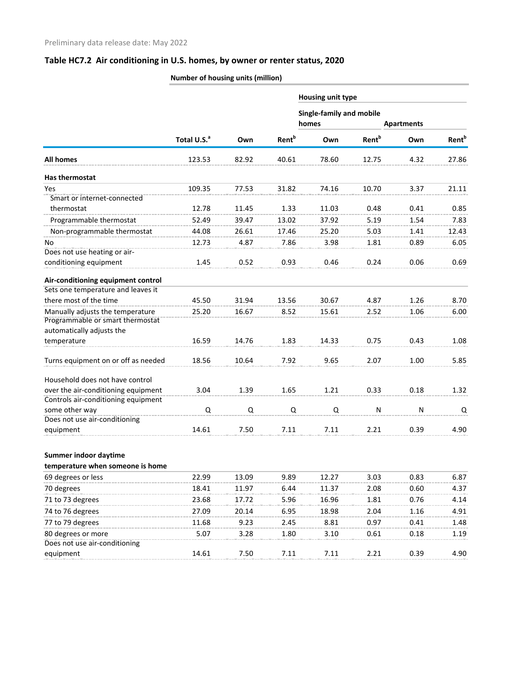|                                                                      | Number of housing units (million) |       |                          |                                   |                          |                   |                          |  |  |
|----------------------------------------------------------------------|-----------------------------------|-------|--------------------------|-----------------------------------|--------------------------|-------------------|--------------------------|--|--|
|                                                                      |                                   |       |                          | Housing unit type                 |                          |                   |                          |  |  |
|                                                                      |                                   |       |                          | Single-family and mobile<br>homes |                          | <b>Apartments</b> |                          |  |  |
|                                                                      | Total U.S. <sup>a</sup>           | Own   | <b>Rent</b> <sup>b</sup> | Own                               | <b>Rent</b> <sup>b</sup> | Own               | <b>Rent</b> <sup>b</sup> |  |  |
| All homes                                                            | 123.53                            | 82.92 | 40.61                    | 78.60                             | 12.75                    | 4.32              | 27.86                    |  |  |
| Has thermostat                                                       |                                   |       |                          |                                   |                          |                   |                          |  |  |
| Yes                                                                  | 109.35                            | 77.53 | 31.82                    | 74.16                             | 10.70                    | 3.37              | 21.11                    |  |  |
| Smart or internet-connected                                          |                                   |       |                          |                                   |                          |                   |                          |  |  |
| thermostat                                                           | 12.78                             | 11.45 | 1.33                     | 11.03                             | 0.48                     | 0.41              | 0.85                     |  |  |
| Programmable thermostat                                              | 52.49                             | 39.47 | 13.02                    | 37.92                             | 5.19                     | 1.54              | 7.83                     |  |  |
| Non-programmable thermostat                                          | 44.08                             | 26.61 | 17.46                    | 25.20                             | 5.03                     | 1.41              | 12.43                    |  |  |
| No                                                                   | 12.73                             | 4.87  | 7.86                     | 3.98                              | 1.81                     | 0.89              | 6.05                     |  |  |
| Does not use heating or air-                                         |                                   |       |                          |                                   |                          |                   |                          |  |  |
| conditioning equipment                                               | 1.45                              | 0.52  | 0.93                     | 0.46                              | 0.24                     | 0.06              | 0.69                     |  |  |
| Air-conditioning equipment control                                   |                                   |       |                          |                                   |                          |                   |                          |  |  |
| Sets one temperature and leaves it                                   |                                   |       |                          |                                   |                          |                   |                          |  |  |
| there most of the time                                               | 45.50                             | 31.94 | 13.56                    | 30.67                             | 4.87                     | 1.26              | 8.70                     |  |  |
| Manually adjusts the temperature<br>Programmable or smart thermostat | 25.20                             | 16.67 | 8.52                     | 15.61                             | 2.52                     | 1.06              | 6.00                     |  |  |
| automatically adjusts the                                            |                                   |       |                          |                                   |                          |                   |                          |  |  |
| temperature                                                          | 16.59                             | 14.76 | 1.83                     | 14.33                             | 0.75                     | 0.43              | 1.08                     |  |  |
| Turns equipment on or off as needed                                  | 18.56                             | 10.64 | 7.92                     | 9.65                              | 2.07                     | 1.00              | 5.85                     |  |  |
| Household does not have control                                      |                                   |       |                          |                                   |                          |                   |                          |  |  |
| over the air-conditioning equipment                                  | 3.04                              | 1.39  | 1.65                     | 1.21                              | 0.33                     | 0.18              | 1.32                     |  |  |
| Controls air-conditioning equipment                                  |                                   |       |                          |                                   |                          |                   |                          |  |  |
| some other way                                                       | Q                                 | Q     | Q                        | Q                                 | N                        | N                 | Q                        |  |  |
| Does not use air-conditioning<br>equipment                           | 14.61                             | 7.50  | 7.11                     | 7.11                              | 2.21                     | 0.39              | 4.90                     |  |  |
|                                                                      |                                   |       |                          |                                   |                          |                   |                          |  |  |
| Summer indoor daytime                                                |                                   |       |                          |                                   |                          |                   |                          |  |  |
| temperature when someone is home                                     |                                   |       |                          |                                   |                          |                   |                          |  |  |
| 69 degrees or less                                                   | 22.99                             | 13.09 | 9.89                     | 12.27                             | 3.03                     | 0.83              | 6.87                     |  |  |
| 70 degrees                                                           | 18.41                             | 11.97 | 6.44                     | 11.37                             | 2.08                     | 0.60              | 4.37                     |  |  |
| 71 to 73 degrees                                                     | 23.68                             | 17.72 | 5.96                     | 16.96                             | 1.81                     | 0.76              | 4.14                     |  |  |
| 74 to 76 degrees                                                     | 27.09                             | 20.14 | 6.95                     | 18.98                             | 2.04                     | 1.16              | 4.91                     |  |  |
| 77 to 79 degrees                                                     | 11.68                             | 9.23  | 2.45                     | 8.81                              | 0.97                     | 0.41              | 1.48                     |  |  |
| 80 degrees or more                                                   | 5.07                              | 3.28  | 1.80                     | 3.10                              | 0.61                     | 0.18              | 1.19                     |  |  |
| Does not use air-conditioning                                        |                                   |       |                          |                                   |                          |                   |                          |  |  |
| equipment                                                            | 14.61                             | 7.50  | 7.11                     | 7.11                              | 2.21                     | 0.39              | 4.90                     |  |  |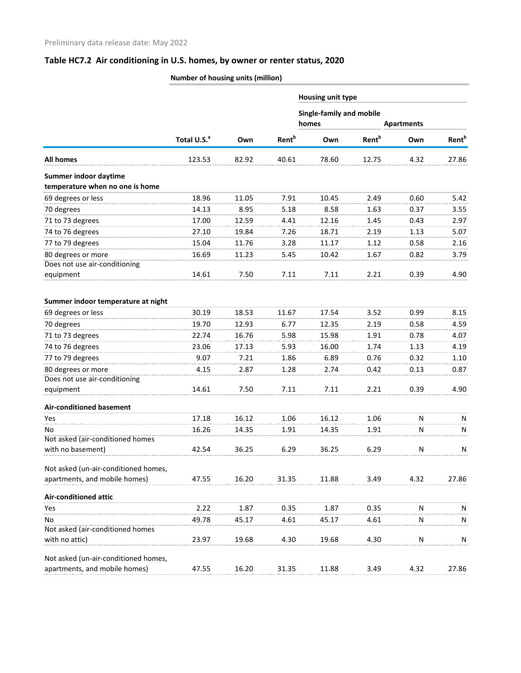|                                                                                                                                            | Number of housing units (million)                |                                                 |                                              |                                                 |                                              |                                              |                                              |  |  |
|--------------------------------------------------------------------------------------------------------------------------------------------|--------------------------------------------------|-------------------------------------------------|----------------------------------------------|-------------------------------------------------|----------------------------------------------|----------------------------------------------|----------------------------------------------|--|--|
|                                                                                                                                            |                                                  |                                                 |                                              | Housing unit type                               |                                              |                                              |                                              |  |  |
|                                                                                                                                            |                                                  |                                                 |                                              | Single-family and mobile<br>homes               |                                              | <b>Apartments</b>                            |                                              |  |  |
|                                                                                                                                            | Total U.S. <sup>a</sup>                          | Own                                             | <b>Rent</b> <sup>b</sup>                     | Own                                             | <b>Rent</b> <sup>b</sup>                     | Own                                          | Rent <sup>b</sup>                            |  |  |
| <b>All homes</b>                                                                                                                           | 123.53                                           | 82.92                                           | 40.61                                        | 78.60                                           | 12.75                                        | 4.32                                         | 27.86                                        |  |  |
| Summer indoor daytime<br>temperature when no one is home                                                                                   |                                                  |                                                 |                                              |                                                 |                                              |                                              |                                              |  |  |
| 69 degrees or less                                                                                                                         | 18.96                                            | 11.05                                           | 7.91                                         | 10.45                                           | 2.49                                         | 0.60                                         | 5.42                                         |  |  |
| 70 degrees                                                                                                                                 | 14.13                                            | 8.95                                            | 5.18                                         | 8.58                                            | 1.63                                         | 0.37                                         | 3.55                                         |  |  |
| 71 to 73 degrees                                                                                                                           | 17.00                                            | 12.59                                           | 4.41                                         | 12.16                                           | 1.45                                         | 0.43                                         | 2.97                                         |  |  |
| 74 to 76 degrees                                                                                                                           | 27.10                                            | 19.84                                           | 7.26                                         | 18.71                                           | 2.19                                         | 1.13                                         | 5.07                                         |  |  |
| 77 to 79 degrees                                                                                                                           | 15.04                                            | 11.76                                           | 3.28                                         | 11.17                                           | 1.12                                         | 0.58                                         | 2.16                                         |  |  |
| 80 degrees or more<br>Does not use air-conditioning                                                                                        | 16.69                                            | 11.23                                           | 5.45                                         | 10.42                                           | 1.67                                         | 0.82                                         | 3.79                                         |  |  |
| equipment                                                                                                                                  | 14.61                                            | 7.50                                            | 7.11                                         | 7.11                                            | 2.21                                         | 0.39                                         | 4.90                                         |  |  |
| 70 degrees<br>71 to 73 degrees<br>74 to 76 degrees<br>77 to 79 degrees<br>80 degrees or more<br>Does not use air-conditioning<br>equipment | 19.70<br>22.74<br>23.06<br>9.07<br>4.15<br>14.61 | 12.93<br>16.76<br>17.13<br>7.21<br>2.87<br>7.50 | 6.77<br>5.98<br>5.93<br>1.86<br>1.28<br>7.11 | 12.35<br>15.98<br>16.00<br>6.89<br>2.74<br>7.11 | 2.19<br>1.91<br>1.74<br>0.76<br>0.42<br>2.21 | 0.58<br>0.78<br>1.13<br>0.32<br>0.13<br>0.39 | 4.59<br>4.07<br>4.19<br>1.10<br>0.87<br>4.90 |  |  |
| <b>Air-conditioned basement</b>                                                                                                            |                                                  |                                                 |                                              |                                                 |                                              |                                              |                                              |  |  |
| Yes                                                                                                                                        | 17.18                                            | 16.12                                           | 1.06                                         | 16.12                                           | 1.06                                         | N                                            | N                                            |  |  |
| No                                                                                                                                         | 16.26                                            | 14.35                                           | 1.91                                         | 14.35                                           | 1.91                                         | ${\sf N}$                                    | N                                            |  |  |
| Not asked (air-conditioned homes<br>with no basement)                                                                                      | 42.54                                            | 36.25                                           | 6.29                                         | 36.25                                           | 6.29                                         | ${\sf N}$                                    | N                                            |  |  |
| Not asked (un-air-conditioned homes,<br>apartments, and mobile homes)                                                                      | 47.55                                            | 16.20                                           | 31.35                                        | 11.88                                           | 3.49                                         | 4.32                                         | 27.86                                        |  |  |
| <b>Air-conditioned attic</b>                                                                                                               |                                                  |                                                 |                                              |                                                 |                                              |                                              |                                              |  |  |
| Yes                                                                                                                                        | 2.22                                             | 1.87                                            | 0.35                                         | 1.87                                            | 0.35                                         | N                                            | N                                            |  |  |
| No                                                                                                                                         | 49.78                                            | 45.17                                           | 4.61                                         | 45.17                                           | 4.61                                         | N                                            | N                                            |  |  |
| Not asked (air-conditioned homes                                                                                                           |                                                  |                                                 |                                              |                                                 |                                              |                                              |                                              |  |  |
| with no attic)                                                                                                                             | 23.97                                            | 19.68                                           | 4.30                                         | 19.68                                           | 4.30                                         | ${\sf N}$                                    | N                                            |  |  |
| Not asked (un-air-conditioned homes,<br>apartments, and mobile homes)                                                                      | 47.55                                            | 16.20                                           | 31.35                                        | 11.88                                           | 3.49                                         | 4.32                                         | 27.86                                        |  |  |
|                                                                                                                                            |                                                  |                                                 |                                              |                                                 |                                              |                                              |                                              |  |  |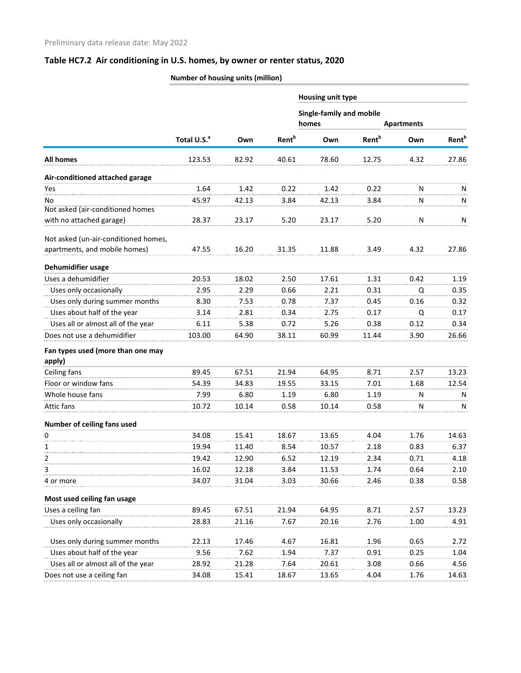|                                      | Number of housing units (million) |       |                          |                                   |                          |                   |                          |  |  |  |
|--------------------------------------|-----------------------------------|-------|--------------------------|-----------------------------------|--------------------------|-------------------|--------------------------|--|--|--|
|                                      |                                   |       |                          | Housing unit type                 |                          |                   |                          |  |  |  |
|                                      |                                   |       |                          | Single-family and mobile<br>homes |                          | <b>Apartments</b> |                          |  |  |  |
|                                      | Total U.S. <sup>a</sup>           | Own   | <b>Rent</b> <sup>b</sup> | Own                               | <b>Rent</b> <sup>b</sup> | Own               | <b>Rent</b> <sup>b</sup> |  |  |  |
| All homes                            | 123.53                            | 82.92 | 40.61                    | 78.60                             | 12.75                    | 4.32              | 27.86                    |  |  |  |
| Air-conditioned attached garage      |                                   |       |                          |                                   |                          |                   |                          |  |  |  |
| Yes                                  | 1.64                              | 1.42  | 0.22                     | 1.42                              | 0.22                     | N                 | N                        |  |  |  |
| No                                   | 45.97                             | 42.13 | 3.84                     | 42.13                             | 3.84                     | N                 | N                        |  |  |  |
| Not asked (air-conditioned homes     |                                   |       |                          |                                   |                          |                   |                          |  |  |  |
| with no attached garage)             | 28.37                             | 23.17 | 5.20                     | 23.17                             | 5.20                     | $\mathsf{N}$      | N                        |  |  |  |
| Not asked (un-air-conditioned homes, |                                   |       |                          |                                   |                          |                   |                          |  |  |  |
| apartments, and mobile homes)        | 47.55                             | 16.20 | 31.35                    | 11.88                             | 3.49                     | 4.32              | 27.86                    |  |  |  |
| Dehumidifier usage                   |                                   |       |                          |                                   |                          |                   |                          |  |  |  |
| Uses a dehumidifier                  | 20.53                             | 18.02 | 2.50                     | 17.61                             | 1.31                     | 0.42              | 1.19                     |  |  |  |
| Uses only occasionally               | 2.95                              | 2.29  | 0.66                     | 2.21                              | 0.31                     | Q                 | 0.35                     |  |  |  |
| Uses only during summer months       | 8.30                              | 7.53  | 0.78                     | 7.37                              | 0.45                     | 0.16              | 0.32                     |  |  |  |
| Uses about half of the year          | 3.14                              | 2.81  | 0.34                     | 2.75                              | 0.17                     | Q                 | 0.17                     |  |  |  |
| Uses all or almost all of the year   | 6.11                              | 5.38  | 0.72                     | 5.26                              | 0.38                     | 0.12              | 0.34                     |  |  |  |
| Does not use a dehumidifier          | 103.00                            | 64.90 | 38.11                    | 60.99                             | 11.44                    | 3.90              | 26.66                    |  |  |  |
| Fan types used (more than one may    |                                   |       |                          |                                   |                          |                   |                          |  |  |  |
| apply)                               | 89.45                             | 67.51 | 21.94                    | 64.95                             | 8.71                     | 2.57              | 13.23                    |  |  |  |
| Ceiling fans<br>Floor or window fans |                                   |       |                          |                                   |                          |                   |                          |  |  |  |
| Whole house fans                     | 54.39                             | 34.83 | 19.55                    | 33.15                             | 7.01                     | 1.68              | 12.54                    |  |  |  |
|                                      | 7.99                              | 6.80  | 1.19                     | 6.80                              | 1.19                     | N                 | N                        |  |  |  |
| Attic fans                           | 10.72                             | 10.14 | 0.58                     | 10.14                             | 0.58                     | N                 | N                        |  |  |  |
| Number of ceiling fans used          |                                   |       |                          |                                   |                          |                   |                          |  |  |  |
| 0                                    | 34.08                             | 15.41 | 18.67                    | 13.65                             | 4.04                     | 1.76              | 14.63                    |  |  |  |
| 1                                    | 19.94                             | 11.40 | 8.54                     | 10.57                             | 2.18                     | 0.83              | 6.37                     |  |  |  |
| 2                                    | 19.42                             | 12.90 | 6.52                     | 12.19                             | 2.34                     | 0.71              | 4.18                     |  |  |  |
| 3                                    | 16.02                             | 12.18 | 3.84                     | 11.53                             | 1.74                     | 0.64              | 2.10                     |  |  |  |
| 4 or more                            | 34.07                             | 31.04 | 3.03                     | 30.66                             | 2.46                     | 0.38              | 0.58                     |  |  |  |
| Most used ceiling fan usage          |                                   |       |                          |                                   |                          |                   |                          |  |  |  |
| Uses a ceiling fan                   | 89.45                             | 67.51 | 21.94                    | 64.95                             | 8.71                     | 2.57              | 13.23                    |  |  |  |
| Uses only occasionally               | 28.83                             | 21.16 | 7.67                     | 20.16                             | 2.76                     | 1.00              | 4.91                     |  |  |  |
| Uses only during summer months       | 22.13                             | 17.46 | 4.67                     | 16.81                             | 1.96                     | 0.65              | 2.72                     |  |  |  |
| Uses about half of the year          | 9.56                              | 7.62  | 1.94                     | 7.37                              | 0.91                     | 0.25              | 1.04                     |  |  |  |
| Uses all or almost all of the year   | 28.92                             | 21.28 | 7.64                     | 20.61                             | 3.08                     | 0.66              | 4.56                     |  |  |  |
| Does not use a ceiling fan           | 34.08                             | 15.41 | 18.67                    | 13.65                             | 4.04                     | 1.76              | 14.63                    |  |  |  |
|                                      |                                   |       |                          |                                   |                          |                   |                          |  |  |  |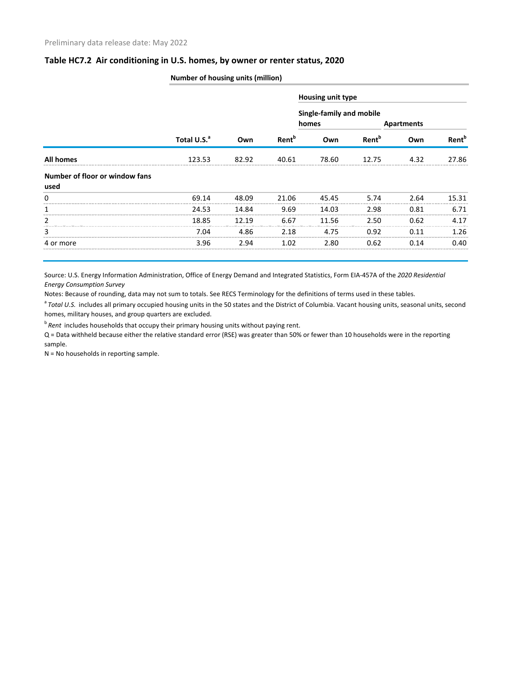| Own<br>82.92 | <b>Rent</b> <sup>b</sup> | Housing unit type<br>Single-family and mobile<br>homes<br>Own | <b>Rent</b> <sup>b</sup>              | <b>Apartments</b><br>Own | <b>Rent</b> <sup>b</sup> |
|--------------|--------------------------|---------------------------------------------------------------|---------------------------------------|--------------------------|--------------------------|
|              |                          |                                                               |                                       |                          |                          |
|              |                          |                                                               |                                       |                          |                          |
|              |                          |                                                               |                                       |                          |                          |
|              | 40.61                    | 78.60                                                         | 12.75                                 | 4.32                     | 27.86                    |
|              |                          |                                                               |                                       |                          |                          |
| 48.09        |                          | 45.45                                                         | 5.74                                  | 2.64                     | 15.31                    |
| 14.84        |                          | 14.03                                                         | 2.98                                  | 0.81                     | 6.71                     |
| 12.19        |                          | 11.56                                                         | 2.50                                  | 0.62                     | 4.17                     |
| 4.86         |                          | 4.75                                                          | 0.92                                  | 0.11                     | 1.26                     |
| 2.94         |                          | 2.80                                                          | 0.62                                  | በ 14                     | 0.40                     |
|              |                          |                                                               | 21.06<br>9.69<br>6.67<br>2.18<br>1.02 |                          |                          |

#### **Number of housing units (million)**

Source: U.S. Energy Information Administration, Office of Energy Demand and Integrated Statistics, Form EIA-457A of the *2020 Residential Energy Consumption Survey*

Notes: Because of rounding, data may not sum to totals. See RECS Terminology for the definitions of terms used in these tables.

<sup>a</sup> Total U.S. includes all primary occupied housing units in the 50 states and the District of Columbia. Vacant housing units, seasonal units, second homes, military houses, and group quarters are excluded.

b<sup>b</sup> Rent includes households that occupy their primary housing units without paying rent.

Q = Data withheld because either the relative standard error (RSE) was greater than 50% or fewer than 10 households were in the reporting sample.

N = No households in reporting sample.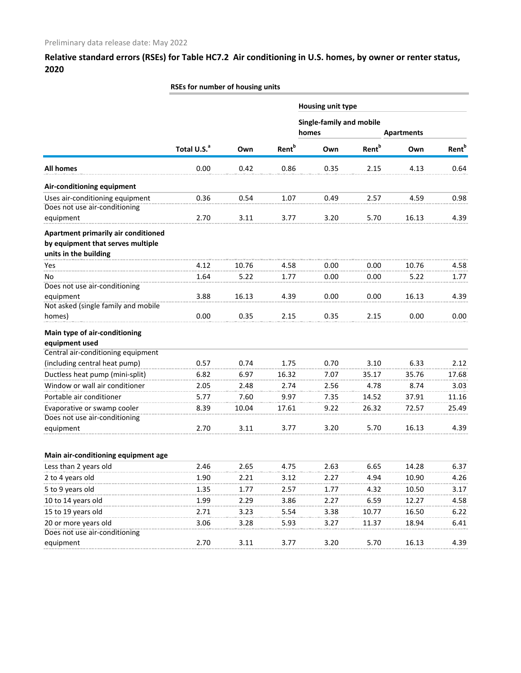|                                     | RSEs for number of housing units |       |                          |                                   |                          |                   |                          |
|-------------------------------------|----------------------------------|-------|--------------------------|-----------------------------------|--------------------------|-------------------|--------------------------|
|                                     |                                  |       |                          | <b>Housing unit type</b>          |                          |                   |                          |
|                                     |                                  |       |                          | Single-family and mobile<br>homes |                          |                   |                          |
|                                     |                                  |       |                          |                                   |                          | <b>Apartments</b> |                          |
|                                     | Total U.S. <sup>a</sup>          | Own   | <b>Rent</b> <sup>b</sup> | Own                               | <b>Rent</b> <sup>b</sup> | Own               | <b>Rent</b> <sup>b</sup> |
| <b>All homes</b>                    | 0.00                             | 0.42  | 0.86                     | 0.35                              | 2.15                     | 4.13              | 0.64                     |
| Air-conditioning equipment          |                                  |       |                          |                                   |                          |                   |                          |
| Uses air-conditioning equipment     | 0.36                             | 0.54  | 1.07                     | 0.49                              | 2.57                     | 4.59              | 0.98                     |
| Does not use air-conditioning       |                                  |       |                          |                                   |                          |                   |                          |
| equipment                           | 2.70                             | 3.11  | 3.77                     | 3.20                              | 5.70                     | 16.13             | 4.39                     |
| Apartment primarily air conditioned |                                  |       |                          |                                   |                          |                   |                          |
| by equipment that serves multiple   |                                  |       |                          |                                   |                          |                   |                          |
| units in the building               |                                  |       |                          |                                   |                          |                   |                          |
| Yes                                 | 4.12                             | 10.76 | 4.58                     | 0.00                              | 0.00                     | 10.76             | 4.58                     |
| No                                  | 1.64                             | 5.22  | 1.77                     | 0.00                              | 0.00                     | 5.22              | 1.77                     |
| Does not use air-conditioning       |                                  |       |                          |                                   |                          |                   |                          |
| equipment                           | 3.88                             | 16.13 | 4.39                     | 0.00                              | 0.00                     | 16.13             | 4.39                     |
| Not asked (single family and mobile |                                  |       |                          |                                   |                          |                   |                          |
| homes)                              | 0.00                             | 0.35  | 2.15                     | 0.35                              | 2.15                     | 0.00              | 0.00                     |
| Main type of air-conditioning       |                                  |       |                          |                                   |                          |                   |                          |
| equipment used                      |                                  |       |                          |                                   |                          |                   |                          |
| Central air-conditioning equipment  |                                  |       |                          |                                   |                          |                   |                          |
| (including central heat pump)       | 0.57                             | 0.74  | 1.75                     | 0.70                              | 3.10                     | 6.33              | 2.12                     |
| Ductless heat pump (mini-split)     | 6.82                             | 6.97  | 16.32                    | 7.07                              | 35.17                    | 35.76             | 17.68                    |
| Window or wall air conditioner      | 2.05                             | 2.48  | 2.74                     | 2.56                              | 4.78                     | 8.74              | 3.03                     |
| Portable air conditioner            | 5.77                             | 7.60  | 9.97                     | 7.35                              | 14.52                    | 37.91             | 11.16                    |
| Evaporative or swamp cooler         | 8.39                             | 10.04 | 17.61                    | 9.22                              | 26.32                    | 72.57             | 25.49                    |
| Does not use air-conditioning       |                                  |       |                          |                                   |                          |                   |                          |
| equipment                           | 2.70                             | 3.11  | 3.77                     | 3.20                              | 5.70                     | 16.13             | 4.39                     |
|                                     |                                  |       |                          |                                   |                          |                   |                          |
| Main air-conditioning equipment age |                                  |       |                          |                                   |                          |                   |                          |
| Less than 2 years old               | 2.46                             | 2.65  | 4.75                     | 2.63                              | 6.65                     | 14.28             | 6.37                     |
| 2 to 4 years old                    | 1.90                             | 2.21  | 3.12                     | 2.27                              | 4.94                     | 10.90             | 4.26                     |
| 5 to 9 years old                    | 1.35                             | 1.77  | 2.57                     | 1.77                              | 4.32                     | 10.50             | 3.17                     |
| 10 to 14 years old                  | 1.99                             | 2.29  | 3.86                     | 2.27                              | 6.59                     | 12.27             | 4.58                     |
| 15 to 19 years old                  | 2.71                             | 3.23  | 5.54                     | 3.38                              | 10.77                    | 16.50             | 6.22                     |
| 20 or more years old                | 3.06                             | 3.28  | 5.93                     | 3.27                              | 11.37                    | 18.94             | 6.41                     |
| Does not use air-conditioning       |                                  |       |                          |                                   |                          |                   |                          |
| equipment                           | 2.70                             | 3.11  | 3.77                     | 3.20                              | 5.70                     | 16.13             | 4.39                     |
|                                     |                                  |       |                          |                                   |                          |                   |                          |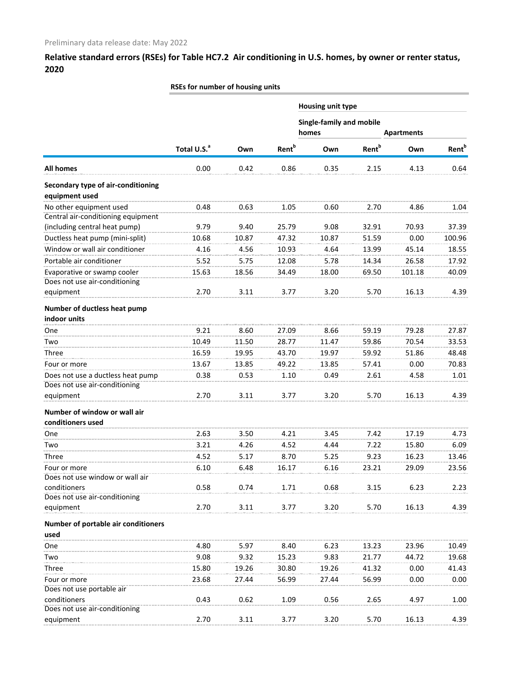|                                                              | RSEs for number of housing units |       |                          |                          |                          |                   |                          |
|--------------------------------------------------------------|----------------------------------|-------|--------------------------|--------------------------|--------------------------|-------------------|--------------------------|
|                                                              |                                  |       |                          | Housing unit type        |                          |                   |                          |
|                                                              |                                  |       |                          | Single-family and mobile |                          |                   |                          |
|                                                              |                                  |       |                          | homes                    |                          | <b>Apartments</b> |                          |
|                                                              | Total U.S. <sup>a</sup>          | Own   | <b>Rent</b> <sup>b</sup> | Own                      | <b>Rent</b> <sup>b</sup> | Own               | <b>Rent</b> <sup>b</sup> |
| <b>All homes</b>                                             | 0.00                             | 0.42  | 0.86                     | 0.35                     | 2.15                     | 4.13              | 0.64                     |
| Secondary type of air-conditioning<br>equipment used         |                                  |       |                          |                          |                          |                   |                          |
| No other equipment used                                      | 0.48                             | 0.63  | 1.05                     | 0.60                     | 2.70                     | 4.86              | 1.04                     |
| Central air-conditioning equipment                           |                                  |       |                          |                          |                          |                   |                          |
| (including central heat pump)                                | 9.79                             | 9.40  | 25.79                    | 9.08                     | 32.91                    | 70.93             | 37.39                    |
| Ductless heat pump (mini-split)                              | 10.68                            | 10.87 | 47.32                    | 10.87                    | 51.59                    | 0.00              | 100.96                   |
| Window or wall air conditioner                               | 4.16                             | 4.56  | 10.93                    | 4.64                     | 13.99                    | 45.14             | 18.55                    |
| Portable air conditioner                                     | 5.52                             | 5.75  | 12.08                    | 5.78                     | 14.34                    | 26.58             | 17.92                    |
| Evaporative or swamp cooler<br>Does not use air-conditioning | 15.63                            | 18.56 | 34.49                    | 18.00                    | 69.50                    | 101.18            | 40.09                    |
| equipment                                                    | 2.70                             | 3.11  | 3.77                     | 3.20                     | 5.70                     | 16.13             | 4.39                     |
| Number of ductless heat pump<br>indoor units                 |                                  |       |                          |                          |                          |                   |                          |
| One                                                          | 9.21                             | 8.60  | 27.09                    | 8.66                     | 59.19                    | 79.28             | 27.87                    |
| Two                                                          | 10.49                            | 11.50 | 28.77                    | 11.47                    | 59.86                    | 70.54             | 33.53                    |
| Three                                                        | 16.59                            | 19.95 | 43.70                    | 19.97                    | 59.92                    | 51.86             | 48.48                    |
| Four or more                                                 | 13.67                            | 13.85 | 49.22                    | 13.85                    | 57.41                    | 0.00              | 70.83                    |
| Does not use a ductless heat pump                            | 0.38                             | 0.53  | 1.10                     | 0.49                     | 2.61                     | 4.58              | 1.01                     |
| Does not use air-conditioning                                |                                  |       |                          |                          |                          |                   |                          |
| equipment                                                    | 2.70                             | 3.11  | 3.77                     | 3.20                     | 5.70                     | 16.13             | 4.39                     |
| Number of window or wall air<br>conditioners used            |                                  |       |                          |                          |                          |                   |                          |
| One                                                          | 2.63                             | 3.50  | 4.21                     | 3.45                     | 7.42                     | 17.19             | 4.73                     |
| Two                                                          | 3.21                             | 4.26  | 4.52                     | 4.44                     | 7.22                     | 15.80             | 6.09                     |
| Three                                                        | 4.52                             | 5.17  | 8.70                     | 5.25                     | 9.23                     | 16.23             | 13.46                    |
| Four or more                                                 | 6.10                             | 6.48  | 16.17                    | 6.16                     | 23.21                    | 29.09             | 23.56                    |
| Does not use window or wall air                              |                                  |       |                          |                          |                          |                   |                          |
| conditioners                                                 | 0.58                             | 0.74  | 1.71                     | 0.68                     | 3.15                     | 6.23              | 2.23                     |
| Does not use air-conditioning<br>equipment                   | 2.70                             | 3.11  | 3.77                     | 3.20                     | 5.70                     | 16.13             | 4.39                     |
| Number of portable air conditioners                          |                                  |       |                          |                          |                          |                   |                          |
| used                                                         |                                  |       |                          |                          |                          |                   |                          |
| One                                                          | 4.80                             | 5.97  | 8.40                     | 6.23                     | 13.23                    | 23.96             | 10.49                    |
| Two                                                          | 9.08                             | 9.32  | 15.23                    | 9.83                     | 21.77                    | 44.72             | 19.68                    |
| Three                                                        | 15.80                            | 19.26 | 30.80                    | 19.26                    | 41.32                    | 0.00              | 41.43                    |
| Four or more                                                 | 23.68                            | 27.44 | 56.99                    | 27.44                    | 56.99                    | 0.00              | 0.00                     |
| Does not use portable air                                    |                                  |       |                          |                          |                          |                   |                          |
| conditioners                                                 | 0.43                             | 0.62  | 1.09                     | 0.56                     | 2.65                     | 4.97              | 1.00                     |
| Does not use air-conditioning                                |                                  |       |                          |                          |                          |                   |                          |
| equipment                                                    | 2.70                             | 3.11  | 3.77                     | 3.20                     | 5.70                     | 16.13             | 4.39                     |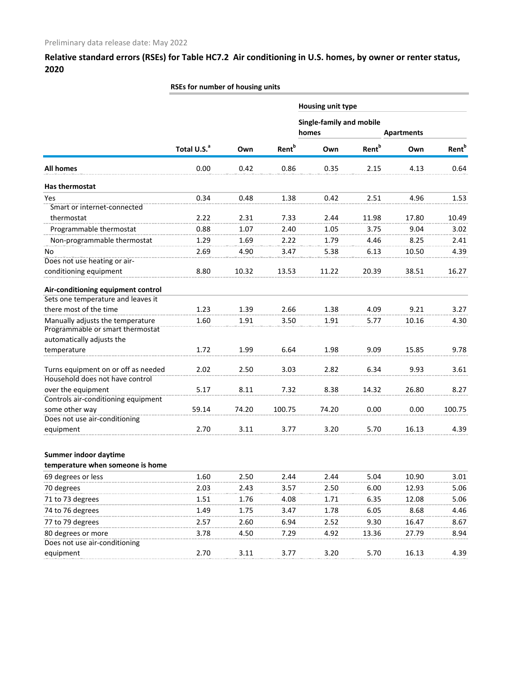|                                                                        | RSEs for number of housing units |       |                          |                          |                          |                   |                          |
|------------------------------------------------------------------------|----------------------------------|-------|--------------------------|--------------------------|--------------------------|-------------------|--------------------------|
|                                                                        |                                  |       |                          | Housing unit type        |                          |                   |                          |
|                                                                        |                                  |       |                          | Single-family and mobile |                          |                   |                          |
|                                                                        |                                  |       |                          | homes                    |                          | <b>Apartments</b> |                          |
|                                                                        | Total U.S. <sup>a</sup>          | Own   | <b>Rent</b> <sup>b</sup> | Own                      | <b>Rent</b> <sup>b</sup> | Own               | <b>Rent</b> <sup>b</sup> |
| <b>All homes</b>                                                       | 0.00                             | 0.42  | 0.86                     | 0.35                     | 2.15                     | 4.13              | 0.64                     |
| <b>Has thermostat</b>                                                  |                                  |       |                          |                          |                          |                   |                          |
| Yes                                                                    | 0.34                             | 0.48  | 1.38                     | 0.42                     | 2.51                     | 4.96              | 1.53                     |
| Smart or internet-connected                                            |                                  |       |                          |                          |                          |                   |                          |
| thermostat                                                             | 2.22                             | 2.31  | 7.33                     | 2.44                     | 11.98                    | 17.80             | 10.49                    |
| Programmable thermostat                                                | 0.88                             | 1.07  | 2.40                     | 1.05                     | 3.75                     | 9.04              | 3.02                     |
| Non-programmable thermostat                                            | 1.29                             | 1.69  | 2.22                     | 1.79                     | 4.46                     | 8.25              | 2.41                     |
| No                                                                     | 2.69                             | 4.90  | 3.47                     | 5.38                     | 6.13                     | 10.50             | 4.39                     |
| Does not use heating or air-                                           |                                  |       |                          |                          |                          |                   |                          |
| conditioning equipment                                                 | 8.80                             | 10.32 | 13.53                    | 11.22                    | 20.39                    | 38.51             | 16.27                    |
| Air-conditioning equipment control                                     |                                  |       |                          |                          |                          |                   |                          |
| Sets one temperature and leaves it                                     |                                  |       |                          |                          |                          |                   |                          |
| there most of the time                                                 | 1.23                             | 1.39  | 2.66                     | 1.38                     | 4.09                     | 9.21              | 3.27                     |
| Manually adjusts the temperature                                       | 1.60                             | 1.91  | 3.50                     | 1.91                     | 5.77                     | 10.16             | 4.30                     |
| Programmable or smart thermostat                                       |                                  |       |                          |                          |                          |                   |                          |
| automatically adjusts the                                              |                                  |       |                          |                          |                          |                   |                          |
| temperature                                                            | 1.72                             | 1.99  | 6.64                     | 1.98                     | 9.09                     | 15.85             | 9.78                     |
|                                                                        |                                  |       |                          |                          |                          |                   |                          |
| Turns equipment on or off as needed<br>Household does not have control | 2.02                             | 2.50  | 3.03                     | 2.82                     | 6.34                     | 9.93              | 3.61                     |
| over the equipment                                                     | 5.17                             | 8.11  | 7.32                     | 8.38                     | 14.32                    | 26.80             | 8.27                     |
| Controls air-conditioning equipment                                    |                                  |       |                          |                          |                          |                   |                          |
| some other way                                                         | 59.14                            | 74.20 | 100.75                   | 74.20                    | 0.00                     | 0.00              | 100.75                   |
| Does not use air-conditioning                                          |                                  |       |                          |                          |                          |                   |                          |
| equipment                                                              | 2.70                             | 3.11  | 3.77                     | 3.20                     | 5.70                     | 16.13             | 4.39                     |
|                                                                        |                                  |       |                          |                          |                          |                   |                          |
| Summer indoor daytime                                                  |                                  |       |                          |                          |                          |                   |                          |
| temperature when someone is home                                       |                                  |       |                          |                          |                          |                   |                          |
| 69 degrees or less                                                     | 1.60                             | 2.50  | 2.44                     | 2.44                     | 5.04                     | 10.90             | 3.01                     |
| 70 degrees                                                             | 2.03                             | 2.43  | 3.57                     | 2.50                     | 6.00                     | 12.93             | 5.06                     |
| 71 to 73 degrees                                                       | 1.51                             | 1.76  | 4.08                     | 1.71                     | 6.35                     | 12.08             | 5.06                     |
| 74 to 76 degrees                                                       | 1.49                             | 1.75  | 3.47                     | 1.78                     | 6.05                     | 8.68              | 4.46                     |
| 77 to 79 degrees                                                       | 2.57                             | 2.60  | 6.94                     | 2.52                     | 9.30                     | 16.47             | 8.67                     |
| 80 degrees or more                                                     | 3.78                             | 4.50  | 7.29                     | 4.92                     | 13.36                    | 27.79             | 8.94                     |
| Does not use air-conditioning                                          |                                  |       |                          |                          |                          |                   |                          |
| equipment                                                              | 2.70                             | 3.11  | 3.77                     | 3.20                     | 5.70                     | 16.13             | 4.39                     |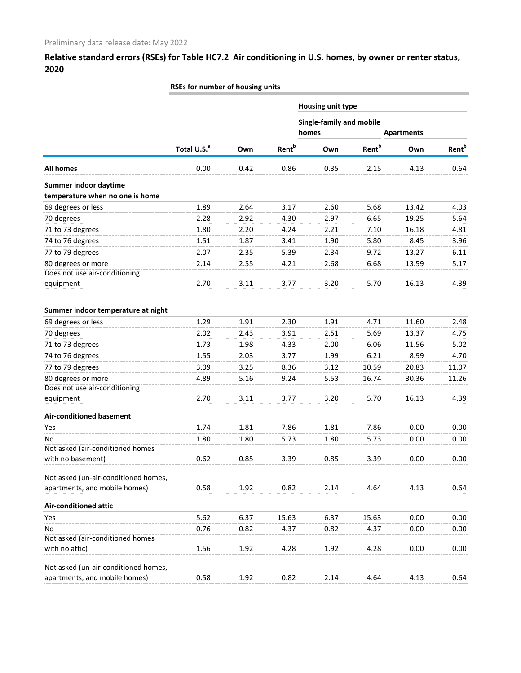|                                                     | RSEs for number of housing units |      |                          |                                   |                          |                   |                          |
|-----------------------------------------------------|----------------------------------|------|--------------------------|-----------------------------------|--------------------------|-------------------|--------------------------|
|                                                     |                                  |      |                          | Housing unit type                 |                          |                   |                          |
|                                                     |                                  |      |                          | Single-family and mobile<br>homes |                          | <b>Apartments</b> |                          |
|                                                     | Total U.S. <sup>a</sup>          | Own  | <b>Rent</b> <sup>b</sup> | Own                               | <b>Rent</b> <sup>b</sup> | Own               | <b>Rent</b> <sup>b</sup> |
| All homes                                           | 0.00                             | 0.42 | 0.86                     | 0.35                              | 2.15                     | 4.13              | 0.64                     |
| Summer indoor daytime                               |                                  |      |                          |                                   |                          |                   |                          |
| temperature when no one is home                     |                                  |      |                          |                                   |                          |                   |                          |
| 69 degrees or less                                  | 1.89                             | 2.64 | 3.17                     | 2.60                              | 5.68                     | 13.42             | 4.03                     |
| 70 degrees                                          | 2.28                             | 2.92 | 4.30                     | 2.97                              | 6.65                     | 19.25             | 5.64                     |
| 71 to 73 degrees                                    | 1.80                             | 2.20 | 4.24                     | 2.21                              | 7.10                     | 16.18             | 4.81                     |
| 74 to 76 degrees                                    | 1.51                             | 1.87 | 3.41                     | 1.90                              | 5.80                     | 8.45              | 3.96                     |
| 77 to 79 degrees                                    | 2.07                             | 2.35 | 5.39                     | 2.34                              | 9.72                     | 13.27             | 6.11                     |
| 80 degrees or more                                  | 2.14                             | 2.55 | 4.21                     | 2.68                              | 6.68                     | 13.59             | 5.17                     |
| Does not use air-conditioning                       |                                  |      |                          |                                   |                          |                   |                          |
| equipment                                           | 2.70                             | 3.11 | 3.77                     | 3.20                              | 5.70                     | 16.13             | 4.39                     |
| Summer indoor temperature at night                  |                                  |      |                          |                                   |                          |                   |                          |
| 69 degrees or less                                  | 1.29                             | 1.91 | 2.30                     | 1.91                              | 4.71                     | 11.60             | 2.48                     |
| 70 degrees                                          | 2.02                             | 2.43 | 3.91                     | 2.51                              | 5.69                     | 13.37             | 4.75                     |
| 71 to 73 degrees                                    | 1.73                             | 1.98 | 4.33                     | 2.00                              | 6.06                     | 11.56             | 5.02                     |
| 74 to 76 degrees                                    | 1.55                             | 2.03 | 3.77                     | 1.99                              | 6.21                     | 8.99              | 4.70                     |
| 77 to 79 degrees                                    | 3.09                             | 3.25 | 8.36                     | 3.12                              | 10.59                    | 20.83             | 11.07                    |
| 80 degrees or more<br>Does not use air-conditioning | 4.89                             | 5.16 | 9.24                     | 5.53                              | 16.74                    | 30.36             | 11.26                    |
| equipment                                           | 2.70                             | 3.11 | 3.77                     | 3.20                              | 5.70                     | 16.13             | 4.39                     |
| <b>Air-conditioned basement</b>                     |                                  |      |                          |                                   |                          |                   |                          |
| Yes                                                 | 1.74                             | 1.81 | 7.86                     | 1.81                              | 7.86                     | 0.00              | 0.00                     |
| No                                                  | 1.80                             | 1.80 | 5.73                     | 1.80                              | 5.73                     | 0.00              | 0.00                     |
| Not asked (air-conditioned homes                    |                                  |      |                          |                                   |                          |                   |                          |
| with no basement)                                   | 0.62                             | 0.85 | 3.39                     | 0.85                              | 3.39                     | 0.00              | 0.00                     |
| Not asked (un-air-conditioned homes,                |                                  |      |                          |                                   |                          |                   |                          |
| apartments, and mobile homes)                       | 0.58                             | 1.92 | 0.82                     | 2.14                              | 4.64                     | 4.13              | 0.64                     |
| <b>Air-conditioned attic</b>                        |                                  |      |                          |                                   |                          |                   |                          |
| Yes                                                 | 5.62                             | 6.37 | 15.63                    | 6.37                              | 15.63                    | 0.00              | 0.00                     |
| No                                                  | 0.76                             | 0.82 | 4.37                     | 0.82                              | 4.37                     | 0.00              | 0.00                     |
| Not asked (air-conditioned homes                    |                                  |      |                          |                                   |                          |                   |                          |
| with no attic)                                      | 1.56                             | 1.92 | 4.28                     | 1.92                              | 4.28                     | 0.00              | 0.00                     |
| Not asked (un-air-conditioned homes,                |                                  |      |                          |                                   |                          |                   |                          |
| apartments, and mobile homes)                       | 0.58                             | 1.92 | 0.82                     | 2.14                              | 4.64                     | 4.13              | 0.64                     |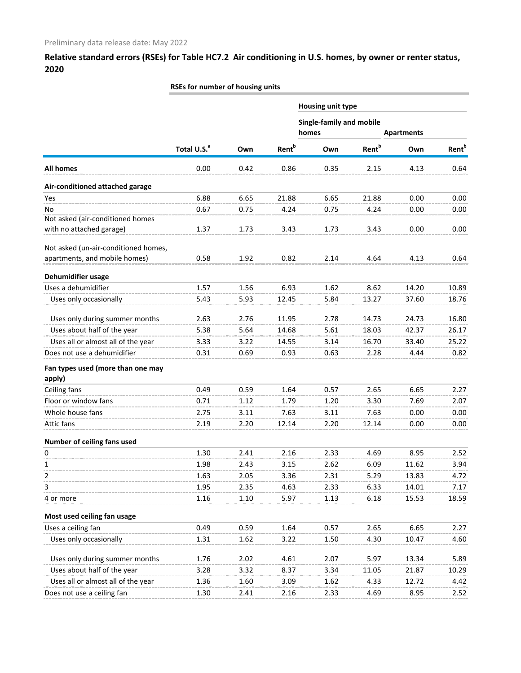|                                      | RSEs for number of housing units |      |                          |                          |                          |                   |                          |
|--------------------------------------|----------------------------------|------|--------------------------|--------------------------|--------------------------|-------------------|--------------------------|
|                                      |                                  |      |                          | Housing unit type        |                          |                   |                          |
|                                      |                                  |      |                          | Single-family and mobile |                          |                   |                          |
|                                      |                                  |      |                          | homes                    |                          | <b>Apartments</b> |                          |
|                                      | Total U.S. <sup>a</sup>          | Own  | <b>Rent</b> <sup>b</sup> | Own                      | <b>Rent</b> <sup>b</sup> | Own               | <b>Rent</b> <sup>b</sup> |
| <b>All homes</b>                     | 0.00                             | 0.42 | 0.86                     | 0.35                     | 2.15                     | 4.13              | 0.64                     |
| Air-conditioned attached garage      |                                  |      |                          |                          |                          |                   |                          |
| Yes                                  | 6.88                             | 6.65 | 21.88                    | 6.65                     | 21.88                    | 0.00              | 0.00                     |
| No                                   | 0.67                             | 0.75 | 4.24                     | 0.75                     | 4.24                     | 0.00              | 0.00                     |
| Not asked (air-conditioned homes     |                                  |      |                          |                          |                          |                   |                          |
| with no attached garage)             | 1.37                             | 1.73 | 3.43                     | 1.73                     | 3.43                     | 0.00              | 0.00                     |
| Not asked (un-air-conditioned homes, |                                  |      |                          |                          |                          |                   |                          |
| apartments, and mobile homes)        | 0.58                             | 1.92 | 0.82                     | 2.14                     | 4.64                     | 4.13              | 0.64                     |
| Dehumidifier usage                   |                                  |      |                          |                          |                          |                   |                          |
| Uses a dehumidifier                  | 1.57                             | 1.56 | 6.93                     | 1.62                     | 8.62                     | 14.20             | 10.89                    |
| Uses only occasionally               | 5.43                             | 5.93 | 12.45                    | 5.84                     | 13.27                    | 37.60             | 18.76                    |
| Uses only during summer months       | 2.63                             | 2.76 | 11.95                    | 2.78                     | 14.73                    | 24.73             | 16.80                    |
| Uses about half of the year          | 5.38                             | 5.64 | 14.68                    | 5.61                     | 18.03                    | 42.37             | 26.17                    |
| Uses all or almost all of the year   | 3.33                             | 3.22 | 14.55                    | 3.14                     | 16.70                    | 33.40             | 25.22                    |
| Does not use a dehumidifier          | 0.31                             | 0.69 | 0.93                     | 0.63                     | 2.28                     | 4.44              | 0.82                     |
| Fan types used (more than one may    |                                  |      |                          |                          |                          |                   |                          |
| apply)<br>Ceiling fans               | 0.49                             | 0.59 | 1.64                     | 0.57                     | 2.65                     | 6.65              | 2.27                     |
| Floor or window fans                 | 0.71                             | 1.12 | 1.79                     | 1.20                     | 3.30                     | 7.69              | 2.07                     |
| Whole house fans                     | 2.75                             | 3.11 | 7.63                     | 3.11                     | 7.63                     | 0.00              | 0.00                     |
| Attic fans                           | 2.19                             | 2.20 | 12.14                    | 2.20                     | 12.14                    | 0.00              | 0.00                     |
|                                      |                                  |      |                          |                          |                          |                   |                          |
| Number of ceiling fans used          |                                  |      |                          |                          |                          |                   |                          |
| 0                                    | 1.30                             | 2.41 | 2.16                     | 2.33                     | 4.69                     | 8.95              | 2.52                     |
| 1                                    | 1.98                             | 2.43 | 3.15                     | 2.62                     | 6.09                     | 11.62             | 3.94                     |
| 2                                    | 1.63                             | 2.05 | 3.36                     | 2.31                     | 5.29                     | 13.83             | 4.72                     |
| 3                                    | 1.95                             | 2.35 | 4.63                     | 2.33                     | 6.33                     | 14.01             | 7.17                     |
| 4 or more                            | 1.16                             | 1.10 | 5.97                     | 1.13                     | 6.18                     | 15.53             | 18.59                    |
| Most used ceiling fan usage          |                                  |      |                          |                          |                          |                   |                          |
| Uses a ceiling fan                   | 0.49                             | 0.59 | 1.64                     | 0.57                     | 2.65                     | 6.65              | 2.27                     |
| Uses only occasionally               | 1.31                             | 1.62 | 3.22                     | 1.50                     | 4.30                     | 10.47             | 4.60                     |
| Uses only during summer months       | 1.76                             | 2.02 | 4.61                     | 2.07                     | 5.97                     | 13.34             | 5.89                     |
| Uses about half of the year          | 3.28                             | 3.32 | 8.37                     | 3.34                     | 11.05                    | 21.87             | 10.29                    |
| Uses all or almost all of the year   | 1.36                             | 1.60 | 3.09                     | 1.62                     | 4.33                     | 12.72             | 4.42                     |
| Does not use a ceiling fan           | 1.30                             | 2.41 | 2.16                     | 2.33                     | 4.69                     | 8.95              | 2.52                     |